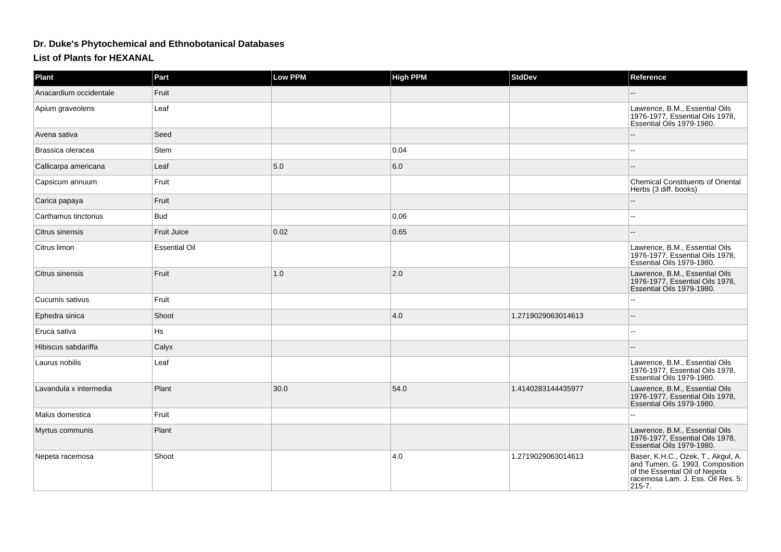## **Dr. Duke's Phytochemical and Ethnobotanical Databases**

**List of Plants for HEXANAL**

| Plant                  | Part                 | <b>Low PPM</b> | <b>High PPM</b> | <b>StdDev</b>      | Reference                                                                                                                                              |
|------------------------|----------------------|----------------|-----------------|--------------------|--------------------------------------------------------------------------------------------------------------------------------------------------------|
| Anacardium occidentale | Fruit                |                |                 |                    |                                                                                                                                                        |
| Apium graveolens       | Leaf                 |                |                 |                    | Lawrence, B.M., Essential Oils<br>1976-1977, Essential Oils 1978,<br>Essential Oils 1979-1980.                                                         |
| Avena sativa           | Seed                 |                |                 |                    |                                                                                                                                                        |
| Brassica oleracea      | <b>Stem</b>          |                | 0.04            |                    |                                                                                                                                                        |
| Callicarpa americana   | Leaf                 | 5.0            | 6.0             |                    |                                                                                                                                                        |
| Capsicum annuum        | Fruit                |                |                 |                    | <b>Chemical Constituents of Oriental</b><br>Herbs (3 diff. books)                                                                                      |
| Carica papaya          | Fruit                |                |                 |                    |                                                                                                                                                        |
| Carthamus tinctorius   | <b>Bud</b>           |                | 0.06            |                    | $\sim$                                                                                                                                                 |
| Citrus sinensis        | <b>Fruit Juice</b>   | 0.02           | 0.65            |                    |                                                                                                                                                        |
| Citrus limon           | <b>Essential Oil</b> |                |                 |                    | Lawrence, B.M., Essential Oils<br>1976-1977, Essential Oils 1978,<br>Essential Oils 1979-1980.                                                         |
| Citrus sinensis        | Fruit                | 1.0            | 2.0             |                    | Lawrence, B.M., Essential Oils<br>1976-1977, Essential Oils 1978,<br>Essential Oils 1979-1980.                                                         |
| Cucumis sativus        | Fruit                |                |                 |                    |                                                                                                                                                        |
| Ephedra sinica         | Shoot                |                | 4.0             | 1.2719029063014613 | $\sim$                                                                                                                                                 |
| Eruca sativa           | Hs                   |                |                 |                    | $-$                                                                                                                                                    |
| Hibiscus sabdariffa    | Calyx                |                |                 |                    |                                                                                                                                                        |
| Laurus nobilis         | Leaf                 |                |                 |                    | Lawrence, B.M., Essential Oils<br>1976-1977, Essential Oils 1978,<br>Essential Oils 1979-1980.                                                         |
| Lavandula x intermedia | Plant                | 30.0           | 54.0            | 1.4140283144435977 | Lawrence, B.M., Essential Oils<br>1976-1977, Essential Oils 1978,<br>Essential Oils 1979-1980.                                                         |
| Malus domestica        | Fruit                |                |                 |                    |                                                                                                                                                        |
| Myrtus communis        | Plant                |                |                 |                    | Lawrence, B.M., Essential Oils<br>1976-1977, Essential Oils 1978,<br>Essential Oils 1979-1980.                                                         |
| Nepeta racemosa        | Shoot                |                | 4.0             | 1.2719029063014613 | Baser, K.H.C., Ozek, T., Akgul, A.<br>and Tumen, G. 1993. Composition<br>of the Essential Oil of Nepeta<br>racemosa Lam. J. Ess. Oil Res. 5:<br>215-7. |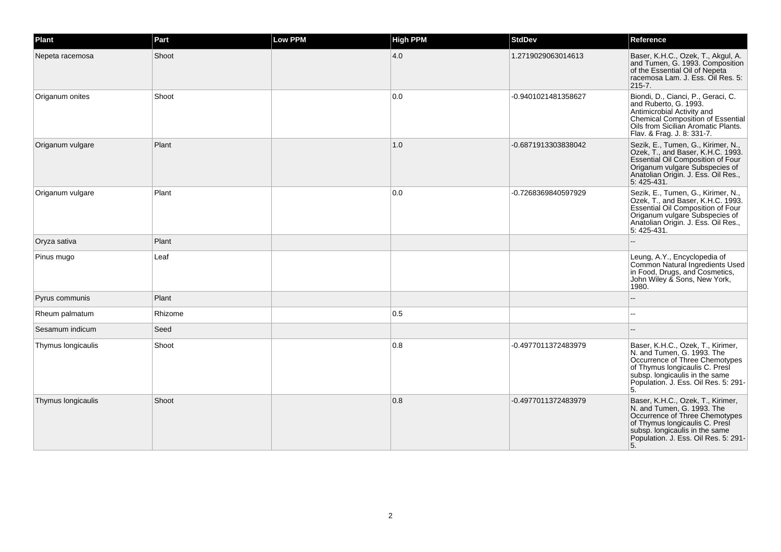| Plant              | Part    | <b>Low PPM</b> | <b>High PPM</b> | <b>StdDev</b>       | Reference                                                                                                                                                                                                           |
|--------------------|---------|----------------|-----------------|---------------------|---------------------------------------------------------------------------------------------------------------------------------------------------------------------------------------------------------------------|
| Nepeta racemosa    | Shoot   |                | 4.0             | 1.2719029063014613  | Baser, K.H.C., Ozek, T., Akgul, A.<br>and Tumen, G. 1993. Composition<br>of the Essential Oil of Nepeta<br>racemosa Lam. J. Ess. Oil Res. 5:<br>215-7.                                                              |
| Origanum onites    | Shoot   |                | 0.0             | -0.9401021481358627 | Biondi, D., Cianci, P., Geraci, C.<br>and Ruberto, G. 1993.<br>Antimicrobial Activity and<br>Chemical Composition of Essential<br>Oils from Sicilian Aromatic Plants.<br>Flav. & Frag. J. 8: 331-7.                 |
| Origanum vulgare   | Plant   |                | 1.0             | -0.6871913303838042 | Sezik, E., Tumen, G., Kirimer, N.,<br>Ozek, T., and Baser, K.H.C. 1993.<br><b>Essential Oil Composition of Four</b><br>Origanum vulgare Subspecies of<br>Anatolian Origin. J. Ess. Oil Res.,<br>5:425-431.          |
| Origanum vulgare   | Plant   |                | 0.0             | -0.7268369840597929 | Sezik, E., Tumen, G., Kirimer, N.,<br>Ozek, T., and Baser, K.H.C. 1993.<br>Essential Oil Composition of Four<br>Origanum vulgare Subspecies of<br>Anatolian Origin. J. Ess. Oil Res.,<br>5:425-431.                 |
| Oryza sativa       | Plant   |                |                 |                     |                                                                                                                                                                                                                     |
| Pinus mugo         | Leaf    |                |                 |                     | Leung, A.Y., Encyclopedia of<br>Common Natural Ingredients Used<br>in Food, Drugs, and Cosmetics,<br>John Wiley & Sons, New York,<br>1980.                                                                          |
| Pyrus communis     | Plant   |                |                 |                     |                                                                                                                                                                                                                     |
| Rheum palmatum     | Rhizome |                | 0.5             |                     |                                                                                                                                                                                                                     |
| Sesamum indicum    | Seed    |                |                 |                     |                                                                                                                                                                                                                     |
| Thymus longicaulis | Shoot   |                | 0.8             | -0.4977011372483979 | Baser, K.H.C., Ozek, T., Kirimer,<br>N. and Tumen, G. 1993. The<br>Occurrence of Three Chemotypes<br>of Thymus longicaulis C. Presi<br>subsp. longicaulis in the same<br>Population. J. Ess. Oil Res. 5: 291-<br>5. |
| Thymus longicaulis | Shoot   |                | 0.8             | -0.4977011372483979 | Baser, K.H.C., Ozek, T., Kirimer,<br>N. and Tumen, G. 1993. The<br>Occurrence of Three Chemotypes<br>of Thymus longicaulis C. Presi<br>subsp. longicaulis in the same<br>Population. J. Ess. Oil Res. 5: 291-<br>5. |